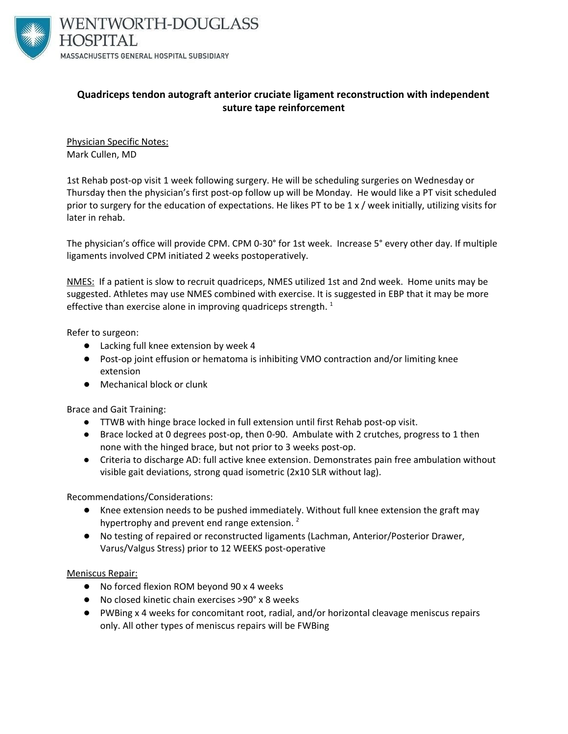

### **Quadriceps tendon autograft anterior cruciate ligament reconstruction with independent suture tape reinforcement**

Physician Specific Notes: Mark Cullen, MD

1st Rehab post-op visit 1 week following surgery. He will be scheduling surgeries on Wednesday or Thursday then the physician's first post-op follow up will be Monday. He would like a PT visit scheduled prior to surgery for the education of expectations. He likes PT to be 1 x / week initially, utilizing visits for later in rehab.

The physician's office will provide CPM. CPM 0-30° for 1st week. Increase 5° every other day. If multiple ligaments involved CPM initiated 2 weeks postoperatively.

NMES: If a patient is slow to recruit quadriceps, NMES utilized 1st and 2nd week. Home units may be suggested. Athletes may use NMES combined with exercise. It is suggested in EBP that it may be more effective than exercise alone in improving quadriceps strength.  $^1$ 

Refer to surgeon:

- Lacking full knee extension by week 4
- Post-op joint effusion or hematoma is inhibiting VMO contraction and/or limiting knee extension
- Mechanical block or clunk

Brace and Gait Training:

- TTWB with hinge brace locked in full extension until first Rehab post-op visit.
- Brace locked at 0 degrees post-op, then 0-90. Ambulate with 2 crutches, progress to 1 then none with the hinged brace, but not prior to 3 weeks post-op.
- Criteria to discharge AD: full active knee extension. Demonstrates pain free ambulation without visible gait deviations, strong quad isometric (2x10 SLR without lag).

Recommendations/Considerations:

- Knee extension needs to be pushed immediately. Without full knee extension the graft may hypertrophy and prevent end range extension.<sup>2</sup>
- No testing of repaired or reconstructed ligaments (Lachman, Anterior/Posterior Drawer, Varus/Valgus Stress) prior to 12 WEEKS post-operative

### Meniscus Repair:

- No forced flexion ROM beyond 90 x 4 weeks
- No closed kinetic chain exercises >90° x 8 weeks
- PWBing x 4 weeks for concomitant root, radial, and/or horizontal cleavage meniscus repairs only. All other types of meniscus repairs will be FWBing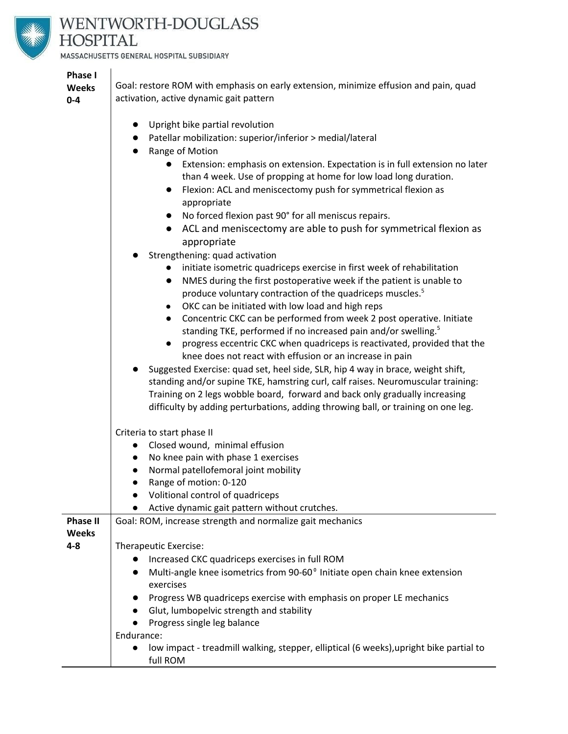

# WENTWORTH-DOUGLASS **HOSPITAL**

● Upright bike partial revolution

MASSACHUSETTS GENERAL HOSPITAL SUBSIDIARY

## **Phase I**

**Weeks 0-4**

Goal: restore ROM with emphasis on early extension, minimize effusion and pain, quad activation, active dynamic gait pattern

|                 | Patellar mobilization: superior/inferior > medial/lateral                                           |
|-----------------|-----------------------------------------------------------------------------------------------------|
|                 | Range of Motion                                                                                     |
|                 | Extension: emphasis on extension. Expectation is in full extension no later<br>$\bullet$            |
|                 | than 4 week. Use of propping at home for low load long duration.                                    |
|                 | Flexion: ACL and meniscectomy push for symmetrical flexion as<br>$\bullet$                          |
|                 | appropriate                                                                                         |
|                 | No forced flexion past 90° for all meniscus repairs.<br>$\bullet$                                   |
|                 | ACL and meniscectomy are able to push for symmetrical flexion as                                    |
|                 | appropriate                                                                                         |
|                 | Strengthening: quad activation                                                                      |
|                 | initiate isometric quadriceps exercise in first week of rehabilitation<br>$\bullet$                 |
|                 | NMES during the first postoperative week if the patient is unable to<br>$\bullet$                   |
|                 | produce voluntary contraction of the quadriceps muscles. <sup>5</sup>                               |
|                 | OKC can be initiated with low load and high reps<br>$\bullet$                                       |
|                 | Concentric CKC can be performed from week 2 post operative. Initiate<br>$\bullet$                   |
|                 | standing TKE, performed if no increased pain and/or swelling. <sup>5</sup>                          |
|                 | progress eccentric CKC when quadriceps is reactivated, provided that the<br>$\bullet$               |
|                 | knee does not react with effusion or an increase in pain                                            |
|                 | Suggested Exercise: quad set, heel side, SLR, hip 4 way in brace, weight shift,                     |
|                 | standing and/or supine TKE, hamstring curl, calf raises. Neuromuscular training:                    |
|                 | Training on 2 legs wobble board, forward and back only gradually increasing                         |
|                 | difficulty by adding perturbations, adding throwing ball, or training on one leg.                   |
|                 |                                                                                                     |
|                 | Criteria to start phase II                                                                          |
|                 | Closed wound, minimal effusion<br>$\bullet$                                                         |
|                 | No knee pain with phase 1 exercises<br>$\bullet$                                                    |
|                 | Normal patellofemoral joint mobility<br>$\bullet$                                                   |
|                 | Range of motion: 0-120<br>$\bullet$                                                                 |
|                 | Volitional control of quadriceps<br>$\bullet$                                                       |
|                 | Active dynamic gait pattern without crutches.                                                       |
| <b>Phase II</b> | Goal: ROM, increase strength and normalize gait mechanics                                           |
| <b>Weeks</b>    |                                                                                                     |
| 4-8             | Therapeutic Exercise:                                                                               |
|                 | Increased CKC quadriceps exercises in full ROM<br>$\bullet$                                         |
|                 | Multi-angle knee isometrics from 90-60° Initiate open chain knee extension<br>$\bullet$             |
|                 | exercises                                                                                           |
|                 | Progress WB quadriceps exercise with emphasis on proper LE mechanics<br>$\bullet$                   |
|                 | Glut, lumbopelvic strength and stability<br>$\bullet$                                               |
|                 | Progress single leg balance                                                                         |
|                 | Endurance:                                                                                          |
|                 | low impact - treadmill walking, stepper, elliptical (6 weeks), upright bike partial to<br>$\bullet$ |
|                 | full ROM                                                                                            |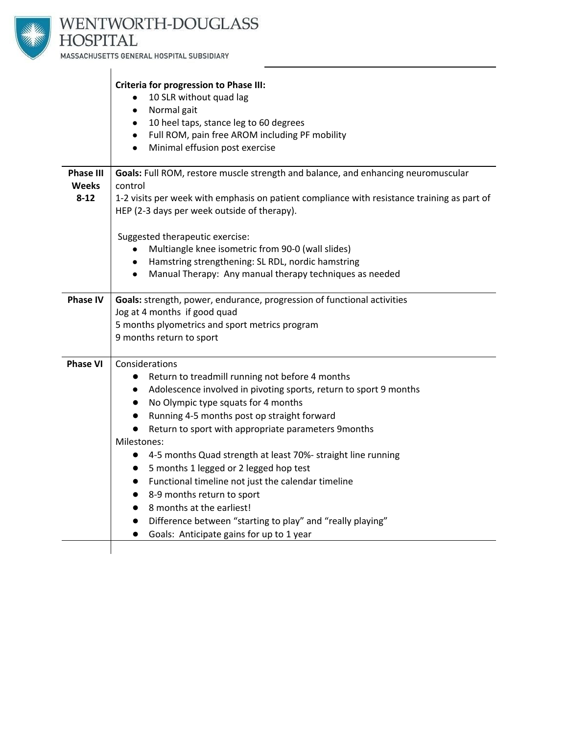

## WENTWORTH-DOUGLASS **HOSPITAL**

MASSACHUSETTS GENERAL HOSPITAL SUBSIDIARY

|                                  | <b>Criteria for progression to Phase III:</b>                                                                                              |
|----------------------------------|--------------------------------------------------------------------------------------------------------------------------------------------|
|                                  | 10 SLR without quad lag                                                                                                                    |
|                                  | Normal gait                                                                                                                                |
|                                  | 10 heel taps, stance leg to 60 degrees                                                                                                     |
|                                  | Full ROM, pain free AROM including PF mobility<br>$\bullet$                                                                                |
|                                  | Minimal effusion post exercise                                                                                                             |
| <b>Phase III</b><br><b>Weeks</b> | Goals: Full ROM, restore muscle strength and balance, and enhancing neuromuscular<br>control                                               |
| $8 - 12$                         | 1-2 visits per week with emphasis on patient compliance with resistance training as part of<br>HEP (2-3 days per week outside of therapy). |
|                                  |                                                                                                                                            |
|                                  | Suggested therapeutic exercise:<br>Multiangle knee isometric from 90-0 (wall slides)                                                       |
|                                  | Hamstring strengthening: SL RDL, nordic hamstring                                                                                          |
|                                  | Manual Therapy: Any manual therapy techniques as needed                                                                                    |
|                                  |                                                                                                                                            |
| <b>Phase IV</b>                  | Goals: strength, power, endurance, progression of functional activities                                                                    |
|                                  | Jog at 4 months if good quad                                                                                                               |
|                                  | 5 months plyometrics and sport metrics program                                                                                             |
|                                  | 9 months return to sport                                                                                                                   |
| <b>Phase VI</b>                  | Considerations                                                                                                                             |
|                                  | Return to treadmill running not before 4 months<br>$\bullet$                                                                               |
|                                  | Adolescence involved in pivoting sports, return to sport 9 months                                                                          |
|                                  | No Olympic type squats for 4 months                                                                                                        |
|                                  | Running 4-5 months post op straight forward                                                                                                |
|                                  | Return to sport with appropriate parameters 9months                                                                                        |
|                                  | Milestones:                                                                                                                                |
|                                  | 4-5 months Quad strength at least 70%- straight line running                                                                               |
|                                  | 5 months 1 legged or 2 legged hop test                                                                                                     |
|                                  | Functional timeline not just the calendar timeline                                                                                         |
|                                  | 8-9 months return to sport                                                                                                                 |
|                                  | 8 months at the earliest!                                                                                                                  |
|                                  | Difference between "starting to play" and "really playing"                                                                                 |
|                                  | Goals: Anticipate gains for up to 1 year                                                                                                   |
|                                  |                                                                                                                                            |